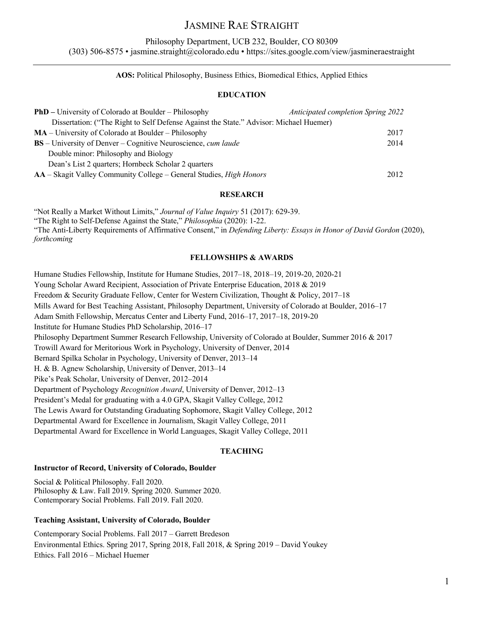# JASMINE RAE STRAIGHT

## Philosophy Department, UCB 232, Boulder, CO 80309

(303) 506-8575 • jasmine.straight@colorado.edu • https://sites.google.com/view/jasmineraestraight

# **AOS:** Political Philosophy, Business Ethics, Biomedical Ethics, Applied Ethics

## **EDUCATION**

| <b>PhD</b> – University of Colorado at Boulder – Philosophy                            | Anticipated completion Spring 2022 |
|----------------------------------------------------------------------------------------|------------------------------------|
| Dissertation: ("The Right to Self Defense Against the State." Advisor: Michael Huemer) |                                    |
| $MA$ – University of Colorado at Boulder – Philosophy                                  | 2017                               |
| <b>BS</b> – University of Denver – Cognitive Neuroscience, <i>cum laude</i>            | 2014                               |
| Double minor: Philosophy and Biology                                                   |                                    |
| Dean's List 2 quarters; Hornbeck Scholar 2 quarters                                    |                                    |
| <b>AA</b> – Skagit Valley Community College – General Studies, <i>High Honors</i>      | 2012                               |

### **RESEARCH**

"Not Really a Market Without Limits," *Journal of Value Inquiry* 51 (2017): 629-39.

"The Right to Self-Defense Against the State," *Philosophia* (2020): 1-22.

"The Anti-Liberty Requirements of Affirmative Consent," in *Defending Liberty: Essays in Honor of David Gordon* (2020), *forthcoming*

# **FELLOWSHIPS & AWARDS**

Humane Studies Fellowship, Institute for Humane Studies, 2017–18, 2018–19, 2019-20, 2020-21 Young Scholar Award Recipient, Association of Private Enterprise Education, 2018 & 2019 Freedom & Security Graduate Fellow, Center for Western Civilization, Thought & Policy, 2017–18 Mills Award for Best Teaching Assistant, Philosophy Department, University of Colorado at Boulder, 2016–17 Adam Smith Fellowship, Mercatus Center and Liberty Fund, 2016–17, 2017–18, 2019-20 Institute for Humane Studies PhD Scholarship, 2016–17 Philosophy Department Summer Research Fellowship, University of Colorado at Boulder, Summer 2016 & 2017 Trowill Award for Meritorious Work in Psychology, University of Denver, 2014 Bernard Spilka Scholar in Psychology, University of Denver, 2013–14 H. & B. Agnew Scholarship, University of Denver, 2013–14 Pike's Peak Scholar, University of Denver, 2012–2014 Department of Psychology *Recognition Award*, University of Denver, 2012–13 President's Medal for graduating with a 4.0 GPA, Skagit Valley College, 2012 The Lewis Award for Outstanding Graduating Sophomore, Skagit Valley College, 2012 Departmental Award for Excellence in Journalism, Skagit Valley College, 2011 Departmental Award for Excellence in World Languages, Skagit Valley College, 2011

## **TEACHING**

#### **Instructor of Record, University of Colorado, Boulder**

Social & Political Philosophy. Fall 2020. Philosophy & Law. Fall 2019. Spring 2020. Summer 2020. Contemporary Social Problems. Fall 2019. Fall 2020.

#### **Teaching Assistant, University of Colorado, Boulder**

Contemporary Social Problems. Fall 2017 – Garrett Bredeson Environmental Ethics. Spring 2017, Spring 2018, Fall 2018, & Spring 2019 – David Youkey Ethics. Fall 2016 – Michael Huemer